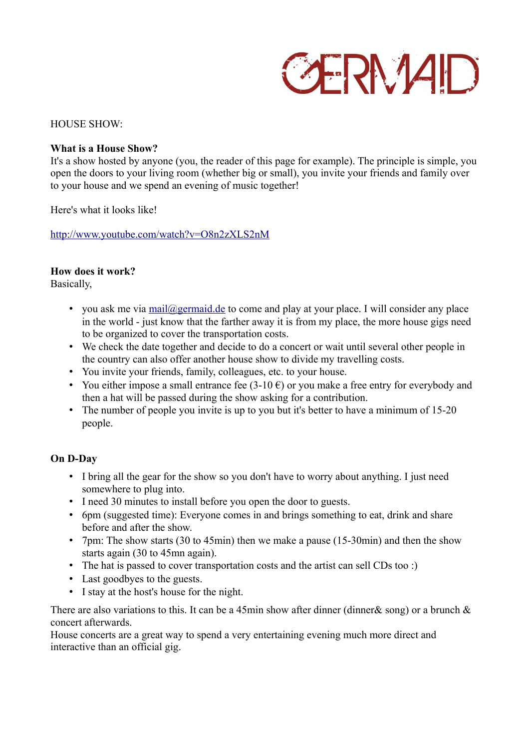# **GERMAD**

### HOUSE SHOW·

# **What is a House Show?**

It's a show hosted by anyone (you, the reader of this page for example). The principle is simple, you open the doors to your living room (whether big or small), you invite your friends and family over to your house and we spend an evening of music together!

Here's what it looks like!

<http://www.youtube.com/watch?v=O8n2zXLS2nM>

## **How does it work?**

Basically,

- you ask me via [mail@germaid.de](mailto:mail@germaid.de) to come and play at your place. I will consider any place in the world - just know that the farther away it is from my place, the more house gigs need to be organized to cover the transportation costs.
- We check the date together and decide to do a concert or wait until several other people in the country can also offer another house show to divide my travelling costs.
- You invite your friends, family, colleagues, etc. to your house.
- You either impose a small entrance fee  $(3-10 \epsilon)$  or you make a free entry for everybody and then a hat will be passed during the show asking for a contribution.
- The number of people you invite is up to you but it's better to have a minimum of 15-20 people.

# **On D-Day**

- I bring all the gear for the show so you don't have to worry about anything. I just need somewhere to plug into.
- I need 30 minutes to install before you open the door to guests.
- 6pm (suggested time): Everyone comes in and brings something to eat, drink and share before and after the show.
- 7pm: The show starts (30 to 45min) then we make a pause (15-30min) and then the show starts again (30 to 45mn again).
- The hat is passed to cover transportation costs and the artist can sell CDs too :)
- Last goodbyes to the guests.
- I stay at the host's house for the night.

There are also variations to this. It can be a 45min show after dinner (dinner & song) or a brunch  $\&$ concert afterwards.

House concerts are a great way to spend a very entertaining evening much more direct and interactive than an official gig.